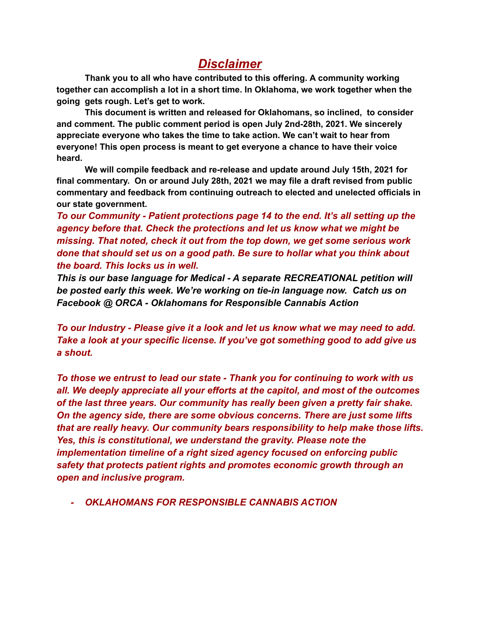# *Disclaimer*

**Thank you to all who have contributed to this offering. A community working together can accomplish a lot in a short time. In Oklahoma, we work together when the going gets rough. Let's get to work.**

**This document is written and released for Oklahomans, so inclined, to consider and comment. The public comment period is open July 2nd-28th, 2021. We sincerely appreciate everyone who takes the time to take action. We can't wait to hear from everyone! This open process is meant to get everyone a chance to have their voice heard.**

**We will compile feedback and re-release and update around July 15th, 2021 for final commentary. On or around July 28th, 2021 we may file a draft revised from public commentary and feedback from continuing outreach to elected and unelected officials in our state government.**

*To our Community - Patient protections page 14 to the end. It's all setting up the agency before that. Check the protections and let us know what we might be missing. That noted, check it out from the top down, we get some serious work done that should set us on a good path. Be sure to hollar what you think about the board. This locks us in well.*

*This is our base language for Medical - A separate RECREATIONAL petition will be posted early this week. We're working on tie-in language now. Catch us on Facebook @ ORCA - Oklahomans for Responsible Cannabis Action*

*To our Industry - Please give it a look and let us know what we may need to add. Take a look at your specific license. If you've got something good to add give us a shout.*

*To those we entrust to lead our state - Thank you for continuing to work with us all. We deeply appreciate all your efforts at the capitol, and most of the outcomes of the last three years. Our community has really been given a pretty fair shake. On the agency side, there are some obvious concerns. There are just some lifts that are really heavy. Our community bears responsibility to help make those lifts. Yes, this is constitutional, we understand the gravity. Please note the implementation timeline of a right sized agency focused on enforcing public safety that protects patient rights and promotes economic growth through an open and inclusive program.*

*- OKLAHOMANS FOR RESPONSIBLE CANNABIS ACTION*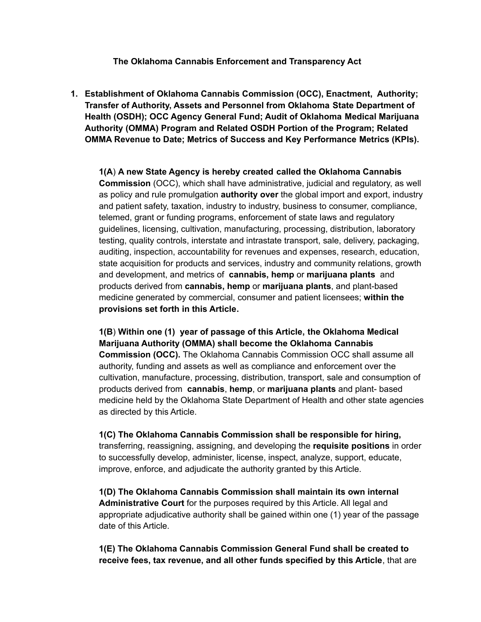#### **The Oklahoma Cannabis Enforcement and Transparency Act**

**1. Establishment of Oklahoma Cannabis Commission (OCC), Enactment, Authority; Transfer of Authority, Assets and Personnel from Oklahoma State Department of Health (OSDH); OCC Agency General Fund; Audit of Oklahoma Medical Marijuana Authority (OMMA) Program and Related OSDH Portion of the Program; Related OMMA Revenue to Date; Metrics of Success and Key Performance Metrics (KPIs).**

**1(A**) **A new State Agency is hereby created called the Oklahoma Cannabis Commission** (OCC), which shall have administrative, judicial and regulatory, as well as policy and rule promulgation **authority over** the global import and export, industry and patient safety, taxation, industry to industry, business to consumer, compliance, telemed, grant or funding programs, enforcement of state laws and regulatory guidelines, licensing, cultivation, manufacturing, processing, distribution, laboratory testing, quality controls, interstate and intrastate transport, sale, delivery, packaging, auditing, inspection, accountability for revenues and expenses, research, education, state acquisition for products and services, industry and community relations, growth and development, and metrics of **cannabis, hemp** or **marijuana plants** and products derived from **cannabis, hemp** or **marijuana plants**, and plant-based medicine generated by commercial, consumer and patient licensees; **within the provisions set forth in this Article.**

**1(B**) **Within one (1) year of passage of this Article, the Oklahoma Medical Marijuana Authority (OMMA) shall become the Oklahoma Cannabis Commission (OCC).** The Oklahoma Cannabis Commission OCC shall assume all authority, funding and assets as well as compliance and enforcement over the cultivation, manufacture, processing, distribution, transport, sale and consumption of products derived from **cannabis**, **hemp**, or **marijuana plants** and plant- based medicine held by the Oklahoma State Department of Health and other state agencies as directed by this Article.

**1(C) The Oklahoma Cannabis Commission shall be responsible for hiring,** transferring, reassigning, assigning, and developing the **requisite positions** in order to successfully develop, administer, license, inspect, analyze, support, educate, improve, enforce, and adjudicate the authority granted by this Article.

**1(D) The Oklahoma Cannabis Commission shall maintain its own internal Administrative Court** for the purposes required by this Article. All legal and appropriate adjudicative authority shall be gained within one (1) year of the passage date of this Article.

**1(E) The Oklahoma Cannabis Commission General Fund shall be created to receive fees, tax revenue, and all other funds specified by this Article**, that are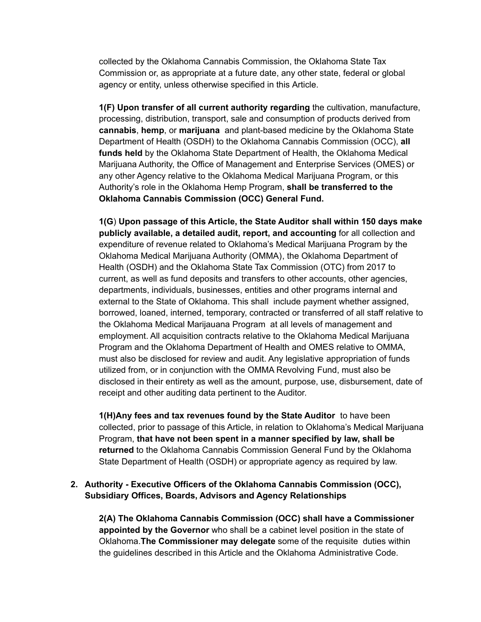collected by the Oklahoma Cannabis Commission, the Oklahoma State Tax Commission or, as appropriate at a future date, any other state, federal or global agency or entity, unless otherwise specified in this Article.

**1(F) Upon transfer of all current authority regarding** the cultivation, manufacture, processing, distribution, transport, sale and consumption of products derived from **cannabis**, **hemp**, or **marijuana** and plant-based medicine by the Oklahoma State Department of Health (OSDH) to the Oklahoma Cannabis Commission (OCC), **all funds held** by the Oklahoma State Department of Health, the Oklahoma Medical Marijuana Authority, the Office of Management and Enterprise Services (OMES) or any other Agency relative to the Oklahoma Medical Marijuana Program, or this Authority's role in the Oklahoma Hemp Program, **shall be transferred to the Oklahoma Cannabis Commission (OCC) General Fund.**

**1(G**) **Upon passage of this Article, the State Auditor shall within 150 days make publicly available, a detailed audit, report, and accounting** for all collection and expenditure of revenue related to Oklahoma's Medical Marijuana Program by the Oklahoma Medical Marijuana Authority (OMMA), the Oklahoma Department of Health (OSDH) and the Oklahoma State Tax Commission (OTC) from 2017 to current, as well as fund deposits and transfers to other accounts, other agencies, departments, individuals, businesses, entities and other programs internal and external to the State of Oklahoma. This shall include payment whether assigned, borrowed, loaned, interned, temporary, contracted or transferred of all staff relative to the Oklahoma Medical Marijauana Program at all levels of management and employment. All acquisition contracts relative to the Oklahoma Medical Marijuana Program and the Oklahoma Department of Health and OMES relative to OMMA, must also be disclosed for review and audit. Any legislative appropriation of funds utilized from, or in conjunction with the OMMA Revolving Fund, must also be disclosed in their entirety as well as the amount, purpose, use, disbursement, date of receipt and other auditing data pertinent to the Auditor.

**1(H)Any fees and tax revenues found by the State Auditor** to have been collected, prior to passage of this Article, in relation to Oklahoma's Medical Marijuana Program, **that have not been spent in a manner specified by law, shall be returned** to the Oklahoma Cannabis Commission General Fund by the Oklahoma State Department of Health (OSDH) or appropriate agency as required by law.

#### **2. Authority - Executive Officers of the Oklahoma Cannabis Commission (OCC), Subsidiary Offices, Boards, Advisors and Agency Relationships**

**2(A) The Oklahoma Cannabis Commission (OCC) shall have a Commissioner appointed by the Governor** who shall be a cabinet level position in the state of Oklahoma.**The Commissioner may delegate** some of the requisite duties within the guidelines described in this Article and the Oklahoma Administrative Code.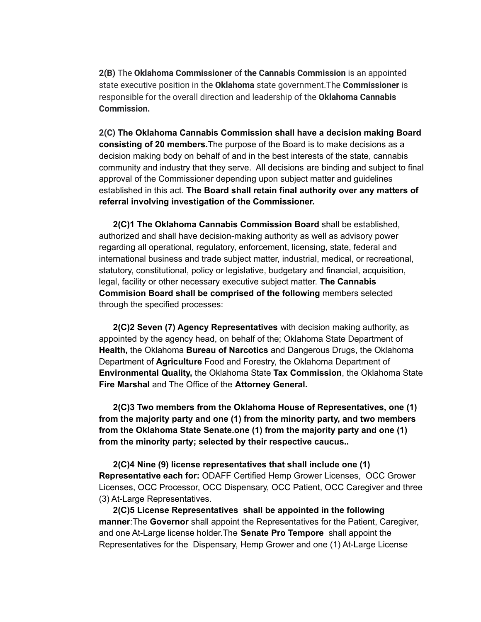**2(B)** The **Oklahoma Commissioner** of **the Cannabis Commission** is an appointed state executive position in the **Oklahoma** state government.The **Commissioner** is responsible for the overall direction and leadership of the **Oklahoma Cannabis Commission.**

**2(C) The Oklahoma Cannabis Commission shall have a decision making Board consisting of 20 members.**The purpose of the Board is to make decisions as a decision making body on behalf of and in the best interests of the state, cannabis community and industry that they serve. All decisions are binding and subject to final approval of the Commissioner depending upon subject matter and guidelines established in this act. **The Board shall retain final authority over any matters of referral involving investigation of the Commissioner.**

**2(C)1 The Oklahoma Cannabis Commission Board** shall be established, authorized and shall have decision-making authority as well as advisory power regarding all operational, regulatory, enforcement, licensing, state, federal and international business and trade subject matter, industrial, medical, or recreational, statutory, constitutional, policy or legislative, budgetary and financial, acquisition, legal, facility or other necessary executive subject matter. **The Cannabis Commision Board shall be comprised of the following** members selected through the specified processes:

**2(C)2 Seven (7) Agency Representatives** with decision making authority, as appointed by the agency head, on behalf of the; Oklahoma State Department of **Health,** the Oklahoma **Bureau of Narcotics** and Dangerous Drugs, the Oklahoma Department of **Agriculture** Food and Forestry, the Oklahoma Department of **Environmental Quality,** the Oklahoma State **Tax Commission**, the Oklahoma State **Fire Marshal** and The Office of the **Attorney General.**

**2(C)3 Two members from the Oklahoma House of Representatives, one (1) from the majority party and one (1) from the minority party, and two members from the Oklahoma State Senate.one (1) from the majority party and one (1) from the minority party; selected by their respective caucus..**

**2(C)4 Nine (9) license representatives that shall include one (1) Representative each for:** ODAFF Certified Hemp Grower Licenses, OCC Grower Licenses, OCC Processor, OCC Dispensary, OCC Patient, OCC Caregiver and three (3) At-Large Representatives.

**2(C)5 License Representatives shall be appointed in the following manner**:The **Governor** shall appoint the Representatives for the Patient, Caregiver, and one At-Large license holder.The **Senate Pro Tempore** shall appoint the Representatives for the Dispensary, Hemp Grower and one (1) At-Large License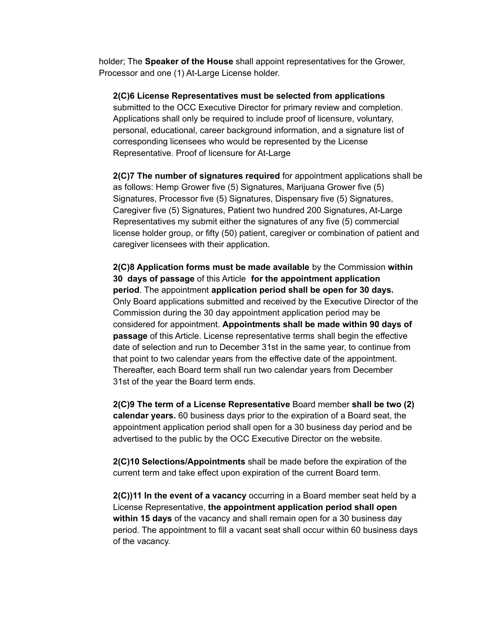holder; The **Speaker of the House** shall appoint representatives for the Grower, Processor and one (1) At-Large License holder.

**2(C)6 License Representatives must be selected from applications** submitted to the OCC Executive Director for primary review and completion. Applications shall only be required to include proof of licensure, voluntary, personal, educational, career background information, and a signature list of corresponding licensees who would be represented by the License Representative. Proof of licensure for At-Large

**2(C)7 The number of signatures required** for appointment applications shall be as follows: Hemp Grower five (5) Signatures, Marijuana Grower five (5) Signatures, Processor five (5) Signatures, Dispensary five (5) Signatures, Caregiver five (5) Signatures, Patient two hundred 200 Signatures, At-Large Representatives my submit either the signatures of any five (5) commercial license holder group, or fifty (50) patient, caregiver or combination of patient and caregiver licensees with their application.

**2(C)8 Application forms must be made available** by the Commission **within 30 days of passage** of this Article **for the appointment application period**. The appointment **application period shall be open for 30 days.** Only Board applications submitted and received by the Executive Director of the Commission during the 30 day appointment application period may be considered for appointment. **Appointments shall be made within 90 days of passage** of this Article. License representative terms shall begin the effective date of selection and run to December 31st in the same year, to continue from that point to two calendar years from the effective date of the appointment. Thereafter, each Board term shall run two calendar years from December 31st of the year the Board term ends.

**2(C)9 The term of a License Representative** Board member **shall be two (2) calendar years.** 60 business days prior to the expiration of a Board seat, the appointment application period shall open for a 30 business day period and be advertised to the public by the OCC Executive Director on the website.

**2(C)10 Selections/Appointments** shall be made before the expiration of the current term and take effect upon expiration of the current Board term.

**2(C))11 In the event of a vacancy** occurring in a Board member seat held by a License Representative, **the appointment application period shall open within 15 days** of the vacancy and shall remain open for a 30 business day period. The appointment to fill a vacant seat shall occur within 60 business days of the vacancy.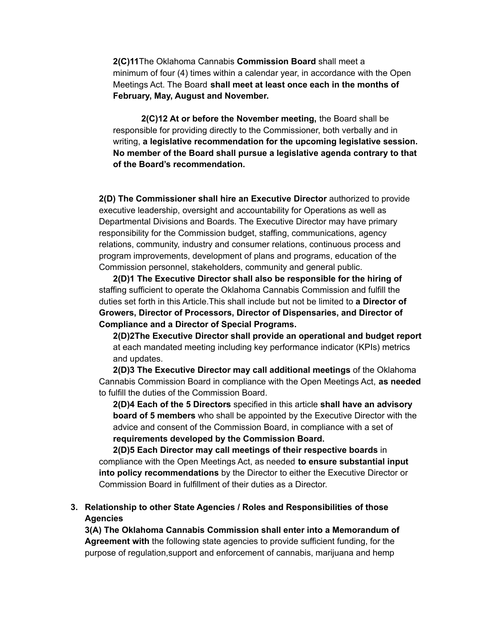**2(C)11**The Oklahoma Cannabis **Commission Board** shall meet a minimum of four (4) times within a calendar year, in accordance with the Open Meetings Act. The Board **shall meet at least once each in the months of February, May, August and November.**

**2(C)12 At or before the November meeting,** the Board shall be responsible for providing directly to the Commissioner, both verbally and in writing, **a legislative recommendation for the upcoming legislative session. No member of the Board shall pursue a legislative agenda contrary to that of the Board's recommendation.**

**2(D) The Commissioner shall hire an Executive Director** authorized to provide executive leadership, oversight and accountability for Operations as well as Departmental Divisions and Boards. The Executive Director may have primary responsibility for the Commission budget, staffing, communications, agency relations, community, industry and consumer relations, continuous process and program improvements, development of plans and programs, education of the Commission personnel, stakeholders, community and general public.

**2(D)1 The Executive Director shall also be responsible for the hiring of** staffing sufficient to operate the Oklahoma Cannabis Commission and fulfill the duties set forth in this Article.This shall include but not be limited to **a Director of Growers, Director of Processors, Director of Dispensaries, and Director of Compliance and a Director of Special Programs.**

**2(D)2The Executive Director shall provide an operational and budget report** at each mandated meeting including key performance indicator (KPIs) metrics and updates.

**2(D)3 The Executive Director may call additional meetings** of the Oklahoma Cannabis Commission Board in compliance with the Open Meetings Act, **as needed** to fulfill the duties of the Commission Board.

**2(D)4 Each of the 5 Directors** specified in this article **shall have an advisory board of 5 members** who shall be appointed by the Executive Director with the advice and consent of the Commission Board, in compliance with a set of **requirements developed by the Commission Board.**

**2(D)5 Each Director may call meetings of their respective boards** in compliance with the Open Meetings Act, as needed **to ensure substantial input into policy recommendations** by the Director to either the Executive Director or Commission Board in fulfillment of their duties as a Director.

#### **3. Relationship to other State Agencies / Roles and Responsibilities of those Agencies**

**3(A) The Oklahoma Cannabis Commission shall enter into a Memorandum of Agreement with** the following state agencies to provide sufficient funding, for the purpose of regulation,support and enforcement of cannabis, marijuana and hemp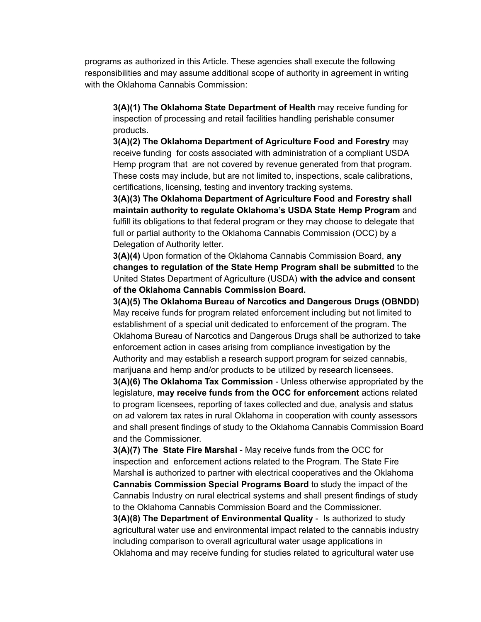programs as authorized in this Article. These agencies shall execute the following responsibilities and may assume additional scope of authority in agreement in writing with the Oklahoma Cannabis Commission:

**3(A)(1) The Oklahoma State Department of Health** may receive funding for inspection of processing and retail facilities handling perishable consumer products.

**3(A)(2) The Oklahoma Department of Agriculture Food and Forestry** may receive funding for costs associated with administration of a compliant USDA Hemp program that are not covered by revenue generated from that program. These costs may include, but are not limited to, inspections, scale calibrations, certifications, licensing, testing and inventory tracking systems.

**3(A)(3) The Oklahoma Department of Agriculture Food and Forestry shall maintain authority to regulate Oklahoma's USDA State Hemp Program** and fulfill its obligations to that federal program or they may choose to delegate that full or partial authority to the Oklahoma Cannabis Commission (OCC) by a Delegation of Authority letter.

**3(A)(4)** Upon formation of the Oklahoma Cannabis Commission Board, **any changes to regulation of the State Hemp Program shall be submitted** to the United States Department of Agriculture (USDA) **with the advice and consent of the Oklahoma Cannabis Commission Board.**

**3(A)(5) The Oklahoma Bureau of Narcotics and Dangerous Drugs (OBNDD)** May receive funds for program related enforcement including but not limited to establishment of a special unit dedicated to enforcement of the program. The Oklahoma Bureau of Narcotics and Dangerous Drugs shall be authorized to take enforcement action in cases arising from compliance investigation by the Authority and may establish a research support program for seized cannabis, marijuana and hemp and/or products to be utilized by research licensees.

**3(A)(6) The Oklahoma Tax Commission** - Unless otherwise appropriated by the legislature, **may receive funds from the OCC for enforcement** actions related to program licensees, reporting of taxes collected and due, analysis and status on ad valorem tax rates in rural Oklahoma in cooperation with county assessors and shall present findings of study to the Oklahoma Cannabis Commission Board and the Commissioner.

**3(A)(7) The State Fire Marshal** - May receive funds from the OCC for inspection and enforcement actions related to the Program. The State Fire Marsha**l** is authorized to partner with electrical cooperatives and the Oklahoma **Cannabis Commission Special Programs Board** to study the impact of the Cannabis Industry on rural electrical systems and shall present findings of study to the Oklahoma Cannabis Commission Board and the Commissioner.

**3(A)(8) The Department of Environmental Quality** - Is authorized to study agricultural water use and environmental impact related to the cannabis industry including comparison to overall agricultural water usage applications in Oklahoma and may receive funding for studies related to agricultural water use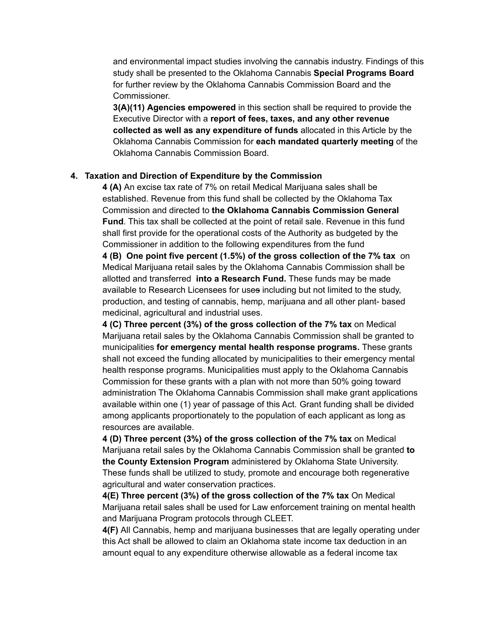and environmental impact studies involving the cannabis industry. Findings of this study shall be presented to the Oklahoma Cannabis **Special Programs Board** for further review by the Oklahoma Cannabis Commission Board and the Commissioner.

**3(A)(11) Agencies empowered** in this section shall be required to provide the Executive Director with a **report of fees, taxes, and any other revenue collected as well as any expenditure of funds** allocated in this Article by the Oklahoma Cannabis Commission for **each mandated quarterly meeting** of the Oklahoma Cannabis Commission Board.

#### **4. Taxation and Direction of Expenditure by the Commission**

**4 (A)** An excise tax rate of 7% on retail Medical Marijuana sales shall be established. Revenue from this fund shall be collected by the Oklahoma Tax Commission and directed to **the Oklahoma Cannabis Commission General Fund**. This tax shall be collected at the point of retail sale. Revenue in this fund shall first provide for the operational costs of the Authority as budgeted by the Commissioner in addition to the following expenditures from the fund **4 (B) One point five percent (1.5%) of the gross collection of the 7% tax** on Medical Marijuana retail sales by the Oklahoma Cannabis Commission shall be allotted and transferred **into a Research Fund.** These funds may be made available to Research Licensees for uses including but not limited to the study, production, and testing of cannabis, hemp, marijuana and all other plant- based medicinal, agricultural and industrial uses.

**4 (C) Three percent (3%) of the gross collection of the 7% tax** on Medical Marijuana retail sales by the Oklahoma Cannabis Commission shall be granted to municipalities **for emergency mental health response programs.** These grants shall not exceed the funding allocated by municipalities to their emergency mental health response programs. Municipalities must apply to the Oklahoma Cannabis Commission for these grants with a plan with not more than 50% going toward administration The Oklahoma Cannabis Commission shall make grant applications available within one (1) year of passage of this Act. Grant funding shall be divided among applicants proportionately to the population of each applicant as long as resources are available.

**4 (D) Three percent (3%) of the gross collection of the 7% tax** on Medical Marijuana retail sales by the Oklahoma Cannabis Commission shall be granted **to the County Extension Program** administered by Oklahoma State University. These funds shall be utilized to study, promote and encourage both regenerative agricultural and water conservation practices.

**4(E) Three percent (3%) of the gross collection of the 7% tax** On Medical Marijuana retail sales shall be used for Law enforcement training on mental health and Marijuana Program protocols through CLEET.

**4(F)** All Cannabis, hemp and marijuana businesses that are legally operating under this Act shall be allowed to claim an Oklahoma state income tax deduction in an amount equal to any expenditure otherwise allowable as a federal income tax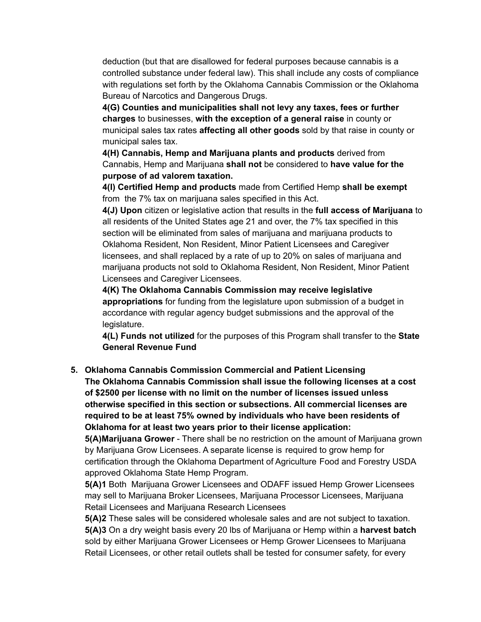deduction (but that are disallowed for federal purposes because cannabis is a controlled substance under federal law). This shall include any costs of compliance with regulations set forth by the Oklahoma Cannabis Commission or the Oklahoma Bureau of Narcotics and Dangerous Drugs.

**4(G) Counties and municipalities shall not levy any taxes, fees or further charges** to businesses, **with the exception of a general raise** in county or municipal sales tax rates **affecting all other goods** sold by that raise in county or municipal sales tax.

**4(H) Cannabis, Hemp and Marijuana plants and products** derived from Cannabis, Hemp and Marijuana **shall not** be considered to **have value for the purpose of ad valorem taxation.**

**4(I) Certified Hemp and products** made from Certified Hemp **shall be exempt** from the 7% tax on marijuana sales specified in this Act.

**4(J) Upon** citizen or legislative action that results in the **full access of Marijuana** to all residents of the United States age 21 and over, the 7% tax specified in this section will be eliminated from sales of marijuana and marijuana products to Oklahoma Resident, Non Resident, Minor Patient Licensees and Caregiver licensees, and shall replaced by a rate of up to 20% on sales of marijuana and marijuana products not sold to Oklahoma Resident, Non Resident, Minor Patient Licensees and Caregiver Licensees.

**4(K) The Oklahoma Cannabis Commission may receive legislative appropriations** for funding from the legislature upon submission of a budget in accordance with regular agency budget submissions and the approval of the legislature.

**4(L) Funds not utilized** for the purposes of this Program shall transfer to the **State General Revenue Fund**

**5. Oklahoma Cannabis Commission Commercial and Patient Licensing The Oklahoma Cannabis Commission shall issue the following licenses at a cost of \$2500 per license with no limit on the number of licenses issued unless otherwise specified in this section or subsections. All commercial licenses are required to be at least 75% owned by individuals who have been residents of Oklahoma for at least two years prior to their license application:**

**5(A)Marijuana Grower** - There shall be no restriction on the amount of Marijuana grown by Marijuana Grow Licensees. A separate license is required to grow hemp for certification through the Oklahoma Department of Agriculture Food and Forestry USDA approved Oklahoma State Hemp Program.

**5(A)1** Both Marijuana Grower Licensees and ODAFF issued Hemp Grower Licensees may sell to Marijuana Broker Licensees, Marijuana Processor Licensees, Marijuana Retail Licensees and Marijuana Research Licensees

**5(A)2** These sales will be considered wholesale sales and are not subject to taxation. **5(A)3** On a dry weight basis every 20 lbs of Marijuana or Hemp within a **harvest batch** sold by either Marijuana Grower Licensees or Hemp Grower Licensees to Marijuana Retail Licensees, or other retail outlets shall be tested for consumer safety, for every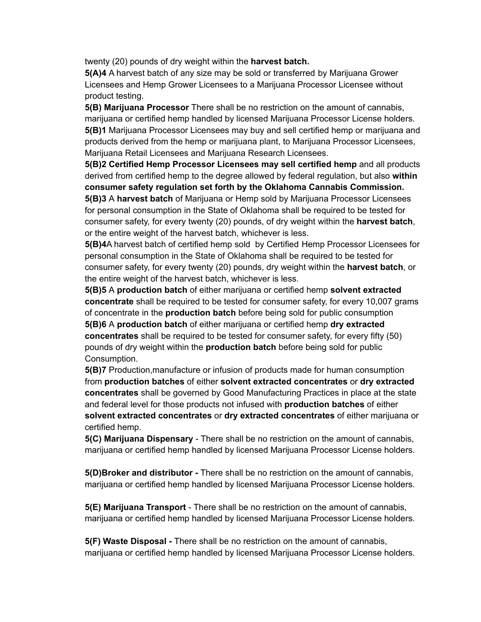twenty (20) pounds of dry weight within the **harvest batch.**

**5(A)4** A harvest batch of any size may be sold or transferred by Marijuana Grower Licensees and Hemp Grower Licensees to a Marijuana Processor Licensee without product testing.

**5(B) Marijuana Processor** There shall be no restriction on the amount of cannabis, marijuana or certified hemp handled by licensed Marijuana Processor License holders. **5(B)1** Marijuana Processor Licensees may buy and sell certified hemp or marijuana and products derived from the hemp or marijuana plant, to Marijuana Processor Licensees, Marijuana Retail Licensees and Marijuana Research Licensees.

**5(B)2 Certified Hemp Processor Licensees may sell certified hemp** and all products derived from certified hemp to the degree allowed by federal regulation, but also **within consumer safety regulation set forth by the Oklahoma Cannabis Commission. 5(B)3** A **harvest batch** of Marijuana or Hemp sold by Marijuana Processor Licensees for personal consumption in the State of Oklahoma shall be required to be tested for

consumer safety, for every twenty (20) pounds, of dry weight within the **harvest batch**, or the entire weight of the harvest batch, whichever is less.

**5(B)4**A harvest batch of certified hemp sold by Certified Hemp Processor Licensees for personal consumption in the State of Oklahoma shall be required to be tested for consumer safety, for every twenty (20) pounds, dry weight within the **harvest batch**, or the entire weight of the harvest batch, whichever is less.

**5(B)5** A **production batch** of either marijuana or certified hemp **solvent extracted concentrate** shall be required to be tested for consumer safety, for every 10,007 grams of concentrate in the **production batch** before being sold for public consumption **5(B)6** A **production batch** of either marijuana or certified hemp **dry extracted concentrates** shall be required to be tested for consumer safety, for every fifty (50) pounds of dry weight within the **production batch** before being sold for public Consumption.

**5(B)7** Production,manufacture or infusion of products made for human consumption from **production batches** of either **solvent extracted concentrates** or **dry extracted concentrates** shall be governed by Good Manufacturing Practices in place at the state and federal level for those products not infused with **production batches** of either **solvent extracted concentrates** or **dry extracted concentrates** of either marijuana or certified hemp.

**5(C) Marijuana Dispensary** - There shall be no restriction on the amount of cannabis, marijuana or certified hemp handled by licensed Marijuana Processor License holders.

**5(D)Broker and distributor -** There shall be no restriction on the amount of cannabis, marijuana or certified hemp handled by licensed Marijuana Processor License holders.

**5(E) Marijuana Transport** - There shall be no restriction on the amount of cannabis, marijuana or certified hemp handled by licensed Marijuana Processor License holders.

**5(F) Waste Disposal -** There shall be no restriction on the amount of cannabis, marijuana or certified hemp handled by licensed Marijuana Processor License holders.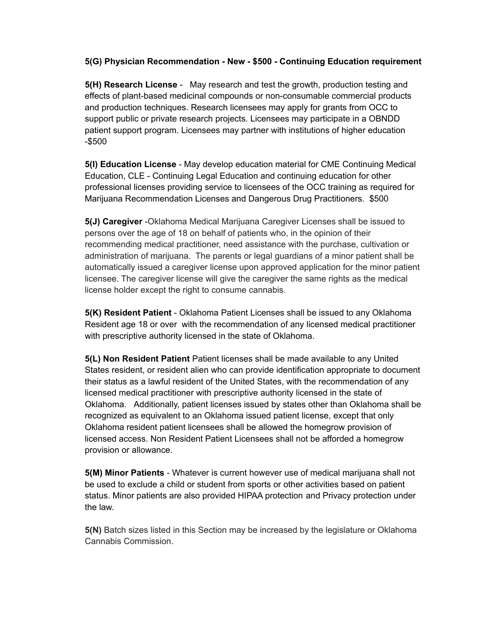**5(G) Physician Recommendation - New - \$500 - Continuing Education requirement**

**5(H) Research License** - May research and test the growth, production testing and effects of plant-based medicinal compounds or non-consumable commercial products and production techniques. Research licensees may apply for grants from OCC to support public or private research projects. Licensees may participate in a OBNDD patient support program. Licensees may partner with institutions of higher education -\$500

**5(I) Education License** - May develop education material for CME Continuing Medical Education, CLE - Continuing Legal Education and continuing education for other professional licenses providing service to licensees of the OCC training as required for Marijuana Recommendation Licenses and Dangerous Drug Practitioners. \$500

**5(J) Caregiver** -Oklahoma Medical Marijuana Caregiver Licenses shall be issued to persons over the age of 18 on behalf of patients who, in the opinion of their recommending medical practitioner, need assistance with the purchase, cultivation or administration of marijuana. The parents or legal guardians of a minor patient shall be automatically issued a caregiver license upon approved application for the minor patient licensee. The caregiver license will give the caregiver the same rights as the medical license holder except the right to consume cannabis.

**5(K) Resident Patient** - Oklahoma Patient Licenses shall be issued to any Oklahoma Resident age 18 or over with the recommendation of any licensed medical practitioner with prescriptive authority licensed in the state of Oklahoma.

**5(L) Non Resident Patient** Patient licenses shall be made available to any United States resident, or resident alien who can provide identification appropriate to document their status as a lawful resident of the United States, with the recommendation of any licensed medical practitioner with prescriptive authority licensed in the state of Oklahoma. Additionally, patient licenses issued by states other than Oklahoma shall be recognized as equivalent to an Oklahoma issued patient license, except that only Oklahoma resident patient licensees shall be allowed the homegrow provision of licensed access. Non Resident Patient Licensees shall not be afforded a homegrow provision or allowance.

**5(M) Minor Patients** - Whatever is current however use of medical marijuana shall not be used to exclude a child or student from sports or other activities based on patient status. Minor patients are also provided HIPAA protection and Privacy protection under the law.

**5(N)** Batch sizes listed in this Section may be increased by the legislature or Oklahoma Cannabis Commission.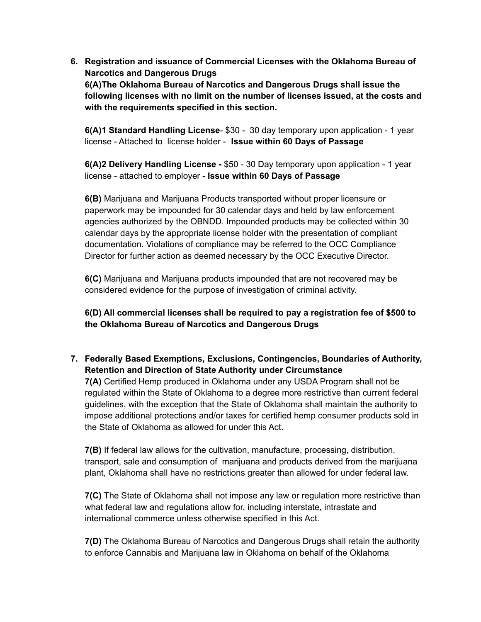**6. Registration and issuance of Commercial Licenses with the Oklahoma Bureau of Narcotics and Dangerous Drugs 6(A)The Oklahoma Bureau of Narcotics and Dangerous Drugs shall issue the following licenses with no limit on the number of licenses issued, at the costs and with the requirements specified in this section.**

**6(A)1 Standard Handling License**- \$30 - 30 day temporary upon application - 1 year license - Attached to license holder - **Issue within 60 Days of Passage**

**6(A)2 Delivery Handling License -** \$50 - 30 Day temporary upon application - 1 year license - attached to employer - **Issue within 60 Days of Passage**

**6(B)** Marijuana and Marijuana Products transported without proper licensure or paperwork may be impounded for 30 calendar days and held by law enforcement agencies authorized by the OBNDD. Impounded products may be collected within 30 calendar days by the appropriate license holder with the presentation of compliant documentation. Violations of compliance may be referred to the OCC Compliance Director for further action as deemed necessary by the OCC Executive Director.

**6(C)** Marijuana and Marijuana products impounded that are not recovered may be considered evidence for the purpose of investigation of criminal activity.

**6(D) All commercial licenses shall be required to pay a registration fee of \$500 to the Oklahoma Bureau of Narcotics and Dangerous Drugs**

**7. Federally Based Exemptions, Exclusions, Contingencies, Boundaries of Authority, Retention and Direction of State Authority under Circumstance**

**7(A)** Certified Hemp produced in Oklahoma under any USDA Program shall not be regulated within the State of Oklahoma to a degree more restrictive than current federal guidelines, with the exception that the State of Oklahoma shall maintain the authority to impose additional protections and/or taxes for certified hemp consumer products sold in the State of Oklahoma as allowed for under this Act.

**7(B)** If federal law allows for the cultivation, manufacture, processing, distribution. transport, sale and consumption of marijuana and products derived from the marijuana plant, Oklahoma shall have no restrictions greater than allowed for under federal law.

**7(C)** The State of Oklahoma shall not impose any law or regulation more restrictive than what federal law and regulations allow for, including interstate, intrastate and international commerce unless otherwise specified in this Act.

**7(D)** The Oklahoma Bureau of Narcotics and Dangerous Drugs shall retain the authority to enforce Cannabis and Marijuana law in Oklahoma on behalf of the Oklahoma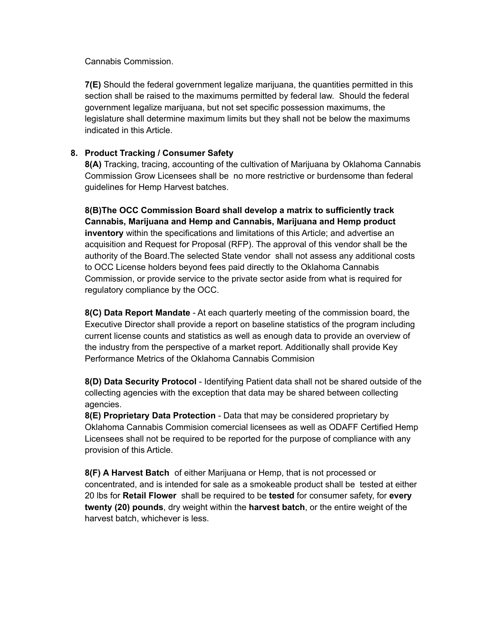Cannabis Commission.

**7(E)** Should the federal government legalize marijuana, the quantities permitted in this section shall be raised to the maximums permitted by federal law. Should the federal government legalize marijuana, but not set specific possession maximums, the legislature shall determine maximum limits but they shall not be below the maximums indicated in this Article.

#### **8. Product Tracking / Consumer Safety**

**8(A)** Tracking, tracing, accounting of the cultivation of Marijuana by Oklahoma Cannabis Commission Grow Licensees shall be no more restrictive or burdensome than federal guidelines for Hemp Harvest batches.

**8(B)The OCC Commission Board shall develop a matrix to sufficiently track Cannabis, Marijuana and Hemp and Cannabis, Marijuana and Hemp product inventory** within the specifications and limitations of this Article; and advertise an acquisition and Request for Proposal (RFP). The approval of this vendor shall be the authority of the Board.The selected State vendor shall not assess any additional costs to OCC License holders beyond fees paid directly to the Oklahoma Cannabis Commission, or provide service to the private sector aside from what is required for regulatory compliance by the OCC.

**8(C) Data Report Mandate** - At each quarterly meeting of the commission board, the Executive Director shall provide a report on baseline statistics of the program including current license counts and statistics as well as enough data to provide an overview of the industry from the perspective of a market report. Additionally shall provide Key Performance Metrics of the Oklahoma Cannabis Commision

**8(D) Data Security Protocol** - Identifying Patient data shall not be shared outside of the collecting agencies with the exception that data may be shared between collecting agencies.

**8(E) Proprietary Data Protection** - Data that may be considered proprietary by Oklahoma Cannabis Commision comercial licensees as well as ODAFF Certified Hemp Licensees shall not be required to be reported for the purpose of compliance with any provision of this Article.

**8(F) A Harvest Batch** of either Marijuana or Hemp, that is not processed or concentrated, and is intended for sale as a smokeable product shall be tested at either 20 lbs for **Retail Flower** shall be required to be **tested** for consumer safety, for **every twenty (20) pounds**, dry weight within the **harvest batch**, or the entire weight of the harvest batch, whichever is less.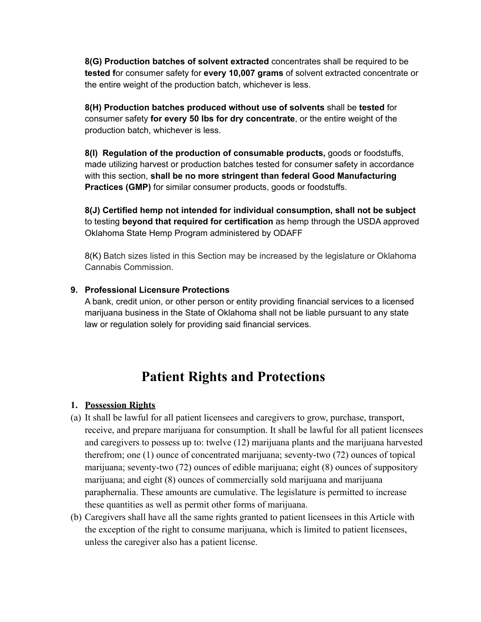**8(G) Production batches of solvent extracted** concentrates shall be required to be **tested f**or consumer safety for **every 10,007 grams** of solvent extracted concentrate or the entire weight of the production batch, whichever is less.

**8(H) Production batches produced without use of solvents** shall be **tested** for consumer safety **for every 50 lbs for dry concentrate**, or the entire weight of the production batch, whichever is less.

**8(I) Regulation of the production of consumable products,** goods or foodstuffs, made utilizing harvest or production batches tested for consumer safety in accordance with this section, **shall be no more stringent than federal Good Manufacturing Practices (GMP)** for similar consumer products, goods or foodstuffs.

**8(J) Certified hemp not intended for individual consumption, shall not be subject** to testing **beyond that required for certification** as hemp through the USDA approved Oklahoma State Hemp Program administered by ODAFF

8(K) Batch sizes listed in this Section may be increased by the legislature or Oklahoma Cannabis Commission.

#### **9. Professional Licensure Protections**

A bank, credit union, or other person or entity providing financial services to a licensed marijuana business in the State of Oklahoma shall not be liable pursuant to any state law or regulation solely for providing said financial services.

# **Patient Rights and Protections**

#### **1. Possession Rights**

- (a) It shall be lawful for all patient licensees and caregivers to grow, purchase, transport, receive, and prepare marijuana for consumption. It shall be lawful for all patient licensees and caregivers to possess up to: twelve (12) marijuana plants and the marijuana harvested therefrom; one (1) ounce of concentrated marijuana; seventy-two (72) ounces of topical marijuana; seventy-two (72) ounces of edible marijuana; eight (8) ounces of suppository marijuana; and eight (8) ounces of commercially sold marijuana and marijuana paraphernalia. These amounts are cumulative. The legislature is permitted to increase these quantities as well as permit other forms of marijuana.
- (b) Caregivers shall have all the same rights granted to patient licensees in this Article with the exception of the right to consume marijuana, which is limited to patient licensees, unless the caregiver also has a patient license.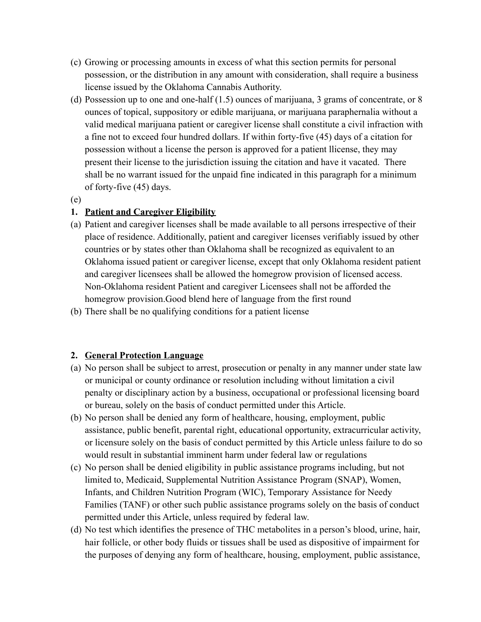- (c) Growing or processing amounts in excess of what this section permits for personal possession, or the distribution in any amount with consideration, shall require a business license issued by the Oklahoma Cannabis Authority.
- (d) Possession up to one and one-half (1.5) ounces of marijuana, 3 grams of concentrate, or 8 ounces of topical, suppository or edible marijuana, or marijuana paraphernalia without a valid medical marijuana patient or caregiver license shall constitute a civil infraction with a fine not to exceed four hundred dollars. If within forty-five (45) days of a citation for possession without a license the person is approved for a patient llicense, they may present their license to the jurisdiction issuing the citation and have it vacated. There shall be no warrant issued for the unpaid fine indicated in this paragraph for a minimum of forty-five (45) days.
- (e)

#### **1. Patient and Caregiver Eligibility**

- (a) Patient and caregiver licenses shall be made available to all persons irrespective of their place of residence. Additionally, patient and caregiver licenses verifiably issued by other countries or by states other than Oklahoma shall be recognized as equivalent to an Oklahoma issued patient or caregiver license, except that only Oklahoma resident patient and caregiver licensees shall be allowed the homegrow provision of licensed access. Non-Oklahoma resident Patient and caregiver Licensees shall not be afforded the homegrow provision.Good blend here of language from the first round
- (b) There shall be no qualifying conditions for a patient license

# **2. General Protection Language**

- (a) No person shall be subject to arrest, prosecution or penalty in any manner under state law or municipal or county ordinance or resolution including without limitation a civil penalty or disciplinary action by a business, occupational or professional licensing board or bureau, solely on the basis of conduct permitted under this Article.
- (b) No person shall be denied any form of healthcare, housing, employment, public assistance, public benefit, parental right, educational opportunity, extracurricular activity, or licensure solely on the basis of conduct permitted by this Article unless failure to do so would result in substantial imminent harm under federal law or regulations
- (c) No person shall be denied eligibility in public assistance programs including, but not limited to, Medicaid, Supplemental Nutrition Assistance Program (SNAP), Women, Infants, and Children Nutrition Program (WIC), Temporary Assistance for Needy Families (TANF) or other such public assistance programs solely on the basis of conduct permitted under this Article, unless required by federal law.
- (d) No test which identifies the presence of THC metabolites in a person's blood, urine, hair, hair follicle, or other body fluids or tissues shall be used as dispositive of impairment for the purposes of denying any form of healthcare, housing, employment, public assistance,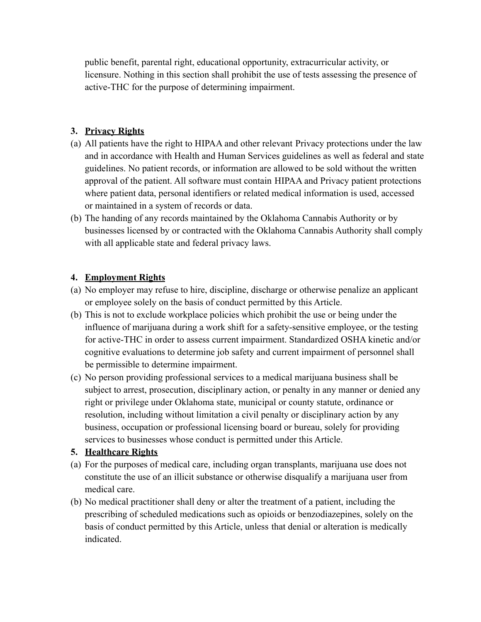public benefit, parental right, educational opportunity, extracurricular activity, or licensure. Nothing in this section shall prohibit the use of tests assessing the presence of active-THC for the purpose of determining impairment.

### **3. Privacy Rights**

- (a) All patients have the right to HIPAA and other relevant Privacy protections under the law and in accordance with Health and Human Services guidelines as well as federal and state guidelines. No patient records, or information are allowed to be sold without the written approval of the patient. All software must contain HIPAA and Privacy patient protections where patient data, personal identifiers or related medical information is used, accessed or maintained in a system of records or data.
- (b) The handing of any records maintained by the Oklahoma Cannabis Authority or by businesses licensed by or contracted with the Oklahoma Cannabis Authority shall comply with all applicable state and federal privacy laws.

#### **4. Employment Rights**

- (a) No employer may refuse to hire, discipline, discharge or otherwise penalize an applicant or employee solely on the basis of conduct permitted by this Article.
- (b) This is not to exclude workplace policies which prohibit the use or being under the influence of marijuana during a work shift for a safety-sensitive employee, or the testing for active-THC in order to assess current impairment. Standardized OSHA kinetic and/or cognitive evaluations to determine job safety and current impairment of personnel shall be permissible to determine impairment.
- (c) No person providing professional services to a medical marijuana business shall be subject to arrest, prosecution, disciplinary action, or penalty in any manner or denied any right or privilege under Oklahoma state, municipal or county statute, ordinance or resolution, including without limitation a civil penalty or disciplinary action by any business, occupation or professional licensing board or bureau, solely for providing services to businesses whose conduct is permitted under this Article.

# **5. Healthcare Rights**

- (a) For the purposes of medical care, including organ transplants, marijuana use does not constitute the use of an illicit substance or otherwise disqualify a marijuana user from medical care.
- (b) No medical practitioner shall deny or alter the treatment of a patient, including the prescribing of scheduled medications such as opioids or benzodiazepines, solely on the basis of conduct permitted by this Article, unless that denial or alteration is medically indicated.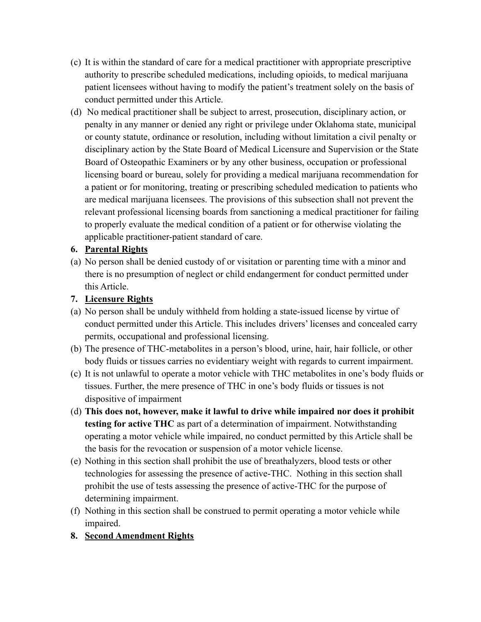- (c) It is within the standard of care for a medical practitioner with appropriate prescriptive authority to prescribe scheduled medications, including opioids, to medical marijuana patient licensees without having to modify the patient's treatment solely on the basis of conduct permitted under this Article.
- (d) No medical practitioner shall be subject to arrest, prosecution, disciplinary action, or penalty in any manner or denied any right or privilege under Oklahoma state, municipal or county statute, ordinance or resolution, including without limitation a civil penalty or disciplinary action by the State Board of Medical Licensure and Supervision or the State Board of Osteopathic Examiners or by any other business, occupation or professional licensing board or bureau, solely for providing a medical marijuana recommendation for a patient or for monitoring, treating or prescribing scheduled medication to patients who are medical marijuana licensees. The provisions of this subsection shall not prevent the relevant professional licensing boards from sanctioning a medical practitioner for failing to properly evaluate the medical condition of a patient or for otherwise violating the applicable practitioner-patient standard of care.

# **6. Parental Rights**

(a) No person shall be denied custody of or visitation or parenting time with a minor and there is no presumption of neglect or child endangerment for conduct permitted under this Article.

# **7. Licensure Rights**

- (a) No person shall be unduly withheld from holding a state-issued license by virtue of conduct permitted under this Article. This includes drivers' licenses and concealed carry permits, occupational and professional licensing.
- (b) The presence of THC-metabolites in a person's blood, urine, hair, hair follicle, or other body fluids or tissues carries no evidentiary weight with regards to current impairment.
- (c) It is not unlawful to operate a motor vehicle with THC metabolites in one's body fluids or tissues. Further, the mere presence of THC in one's body fluids or tissues is not dispositive of impairment
- (d) **This does not, however, make it lawful to drive while impaired nor does it prohibit testing for active THC** as part of a determination of impairment. Notwithstanding operating a motor vehicle while impaired, no conduct permitted by this Article shall be the basis for the revocation or suspension of a motor vehicle license.
- (e) Nothing in this section shall prohibit the use of breathalyzers, blood tests or other technologies for assessing the presence of active-THC. Nothing in this section shall prohibit the use of tests assessing the presence of active-THC for the purpose of determining impairment.
- (f) Nothing in this section shall be construed to permit operating a motor vehicle while impaired.
- **8. Second Amendment Rights**